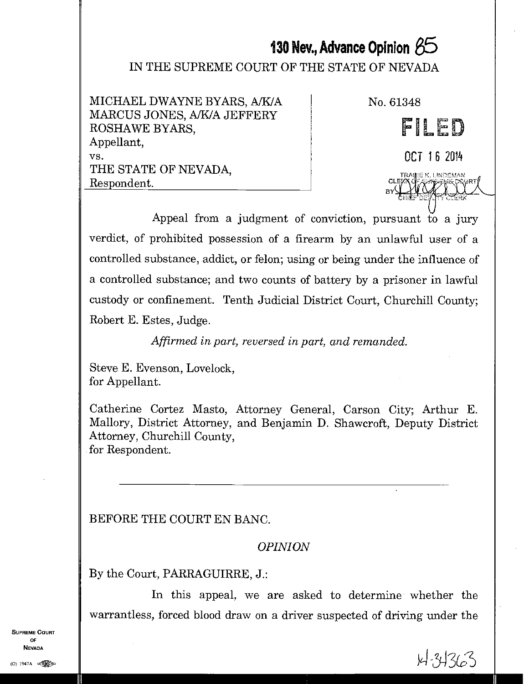# **130 Nev., Advance Opinion 85**

#### IN THE SUPREME COURT OF THE STATE OF NEVADA

MICHAEL DWAYNE BYARS, A/K/A MARCUS JONES, A/K/A JEFFERY ROSHAWE BYARS, Appellant, vs. THE STATE OF NEVADA, Respondent.

No. 61348

CE

# FILED

OCT 1 6 2014

IRATE': I INREMAN

Appeal from a judgment of conviction, pursuant to a jury verdict, of prohibited possession of a firearm by an unlawful user of a controlled substance, addict, or felon; using or being under the influence of a controlled substance; and two counts of battery by a prisoner in lawful custody or confinement. Tenth Judicial District Court, Churchill County; Robert E. Estes, Judge.

*Affirmed in part, reversed in part, and remanded.* 

Steve E. Evenson, Lovelock, for Appellant.

Catherine Cortez Masto, Attorney General, Carson City; Arthur E. Mallory, District Attorney, and Benjamin D. Shawcroft, Deputy District Attorney, Churchill County, for Respondent.

# BEFORE THE COURT EN BANG.

# *OPINION*

By the Court, PARRAGUIRRE, J.:

In this appeal, we are asked to determine whether the warrantless, forced blood draw on a driver suspected of driving under the

SUPREME COURT OF NEVADA  $\frac{1}{2}$  Nevada<br>(0) 1947A essays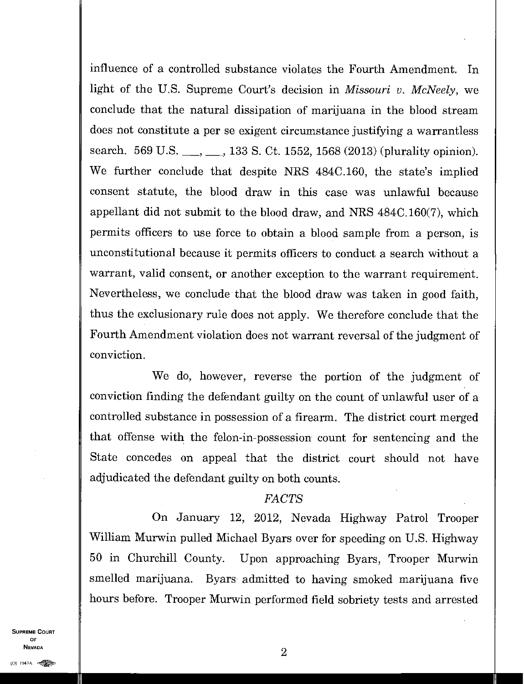influence of a controlled substance violates the Fourth Amendment. In light of the U.S. Supreme Court's decision in *Missouri v. McNeely,* we conclude that the natural dissipation of marijuana in the blood stream does not constitute a per se exigent circumstance justifying a warrantless search. 569 U.S. \_\_, \_\_, 133 S. Ct. 1552, 1568 (2013) (plurality opinion). We further conclude that despite NRS 484C.160, the state's implied consent statute, the blood draw in this case was unlawful because appellant did not submit to the blood draw, and NRS 484C.160(7), which permits officers to use force to obtain a blood sample from a person, is unconstitutional because it permits officers to conduct a search without a warrant, valid consent, or another exception to the warrant requirement. Nevertheless, we conclude that the blood draw was taken in good faith, thus the exclusionary rule does not apply. We therefore conclude that the Fourth Amendment violation does not warrant reversal of the judgment of conviction.

We do, however, reverse the portion of the judgment of conviction finding the defendant guilty on the count of unlawful user of a controlled substance in possession of a firearm. The district court merged that offense with the felon-in-possession count for sentencing and the State concedes on appeal that the district court should not have adjudicated the defendant guilty on both counts.

#### *FACTS*

On January 12, 2012, Nevada Highway Patrol Trooper William Murwin pulled Michael Byars over for speeding on U.S. Highway 50 in Churchill County. Upon approaching Byars, Trooper Murwin smelled marijuana. Byars admitted to having smoked marijuana five hours before. Trooper Murwin performed field sobriety tests and arrested

SUPREME COURT OF NEVADA  $2$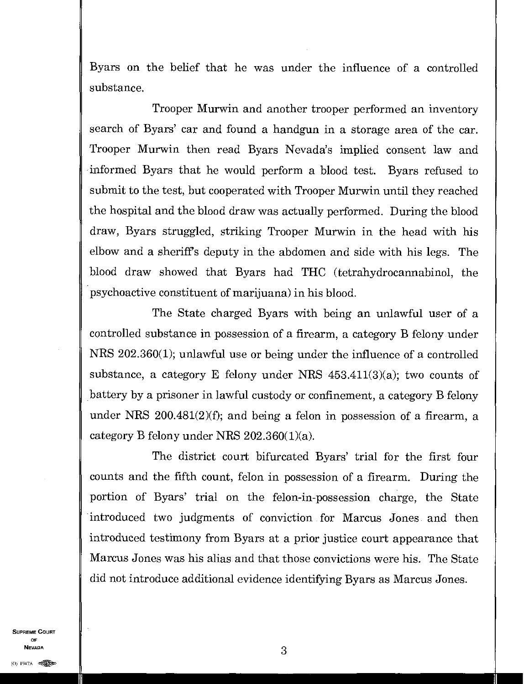Byars on the belief that he was under the influence of a controlled substance.

Trooper Murwin and another trooper performed an inventory search of Byars' car and found a handgun in a storage area of the car. Trooper Murwin then read Byars Nevada's implied consent law and informed Byars that he would perform a blood test. Byars refused to submit to the test, but cooperated with Trooper Murwin until they reached the hospital and the blood draw was actually performed. During the blood draw, Byars struggled, striking Trooper Murwin in the head with his elbow and a sheriff's deputy in the abdomen and side with his legs. The blood draw showed that Byars had THC (tetrahydrocannabinol, the psychoactive constituent of marijuana) in his blood.

The State charged Byars with being an unlawful user of a controlled substance in possession of a firearm, a category B felony under MRS 202.360(1); unlawful use or being under the influence of a controlled substance, a category E felony under NRS  $453.411(3)(a)$ ; two counts of battery by a prisoner in lawful custody or confinement, a category B felony under NRS 200.481(2)(f); and being a felon in possession of a firearm, a category B felony under NRS 202.360(1)(a).

The district court bifurcated Byars' trial for the first four counts and the fifth count, felon in possession of a firearm. During the portion of Byars' trial on the felon-in-possession charge, the State introduced two judgments of conviction for Marcus Jones and then introduced testimony from Byars at a prior justice court appearance that Marcus Jones was his alias and that those convictions were his. The State did not introduce additional evidence identifying Byars as Marcus Jones.

SUPREME COURT OF  $\blacksquare$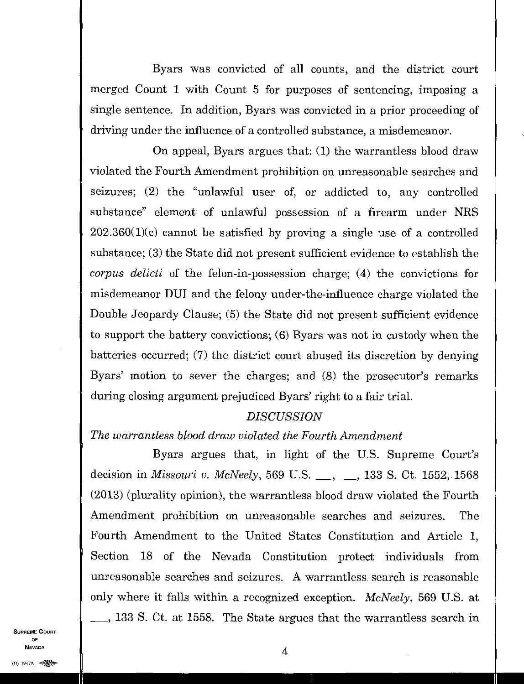Byars was convicted of all counts, and the district court merged Count 1 with Count 5 for purposes of sentencing, imposing a single sentence. In addition, Byars was convicted in a prior proceeding of driving under the influence of a controlled substance, a misdemeanor.

On appeal, Byars argues that: (1) the warrantless blood draw violated the Fourth Amendment prohibition on unreasonable searches and seizures; (2) the "unlawful user of, or addicted to, any controlled substance" element of unlawful possession of a firearm under NRS  $202.360(1)(c)$  cannot be satisfied by proving a single use of a controlled substance; (3) the State did not present sufficient evidence to establish the *corpus delicti* of the felon-in-possession charge; (4) the convictions for misdemeanor DUI and the felony under-the-influence charge violated the Double Jeopardy Clause; (5) the State did not present sufficient evidence to support the battery convictions; (6) Byars was not in custody when the batteries occurred; (7) the district court abused its discretion by denying Byars' motion to sever the charges; and (8) the prosecutor's remarks during closing argument prejudiced Byars' right to a fair trial.

#### *DISCUSSION*

*The warrantless blood draw violated the Fourth Amendment* 

Byars argues that, in light of the U.S. Supreme Court's decision in *Missouri v. McNeely*, 569 U.S. <sub>..., ..., 133 S. Ct. 1552, 1568</sub> (2013) (plurality opinion), the warrantless blood draw violated the Fourth Amendment prohibition on unreasonable searches and seizures. The Fourth Amendment to the United States Constitution and Article 1, Section 18 of the Nevada Constitution protect individuals from unreasonable searches and seizures. A warrantless search is reasonable only where it falls within a recognized exception. *McNeely,* 569 U.S. at , 133 S. Ct. at 1558. The State argues that the warrantless search in

SUPREME COURT OF  $\frac{1}{4}$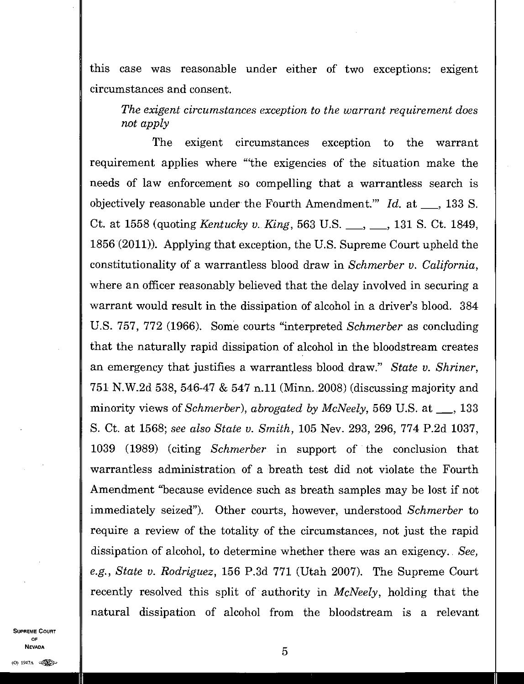this case was reasonable under either of two exceptions: exigent circumstances and consent.

*The exigent circumstances exception to the warrant requirement does not apply* 

The exigent circumstances exception to the warrant requirement applies where "the exigencies of the situation make the needs of law enforcement so compelling that a warrantless search is objectively reasonable under the Fourth Amendment.<sup>"</sup> *Id.* at <sub>1</sub>, 133 S. Ct. at 1558 (quoting *Kentucky v. King*, 563 U.S. <sub>..., ..., 131 S. Ct. 1849,</sub> 1856 (2011)). Applying that exception, the U.S. Supreme Court upheld the constitutionality of a warrantless blood draw in *Schmerber v. California,*  where an officer reasonably believed that the delay involved in securing a warrant would result in the dissipation of alcohol in a driver's blood. 384 U.S. 757, 772 (1966). Some courts "interpreted *Schmerber* as concluding that the naturally rapid dissipation of alcohol in the bloodstream creates an emergency that justifies a warrantless blood draw." *State v. Shriner,*  751 N.W.2d 538, 546-47 & 547 n.11 (Minn. 2008) (discussing majority and minority views of *Schmerber*), abrogated by McNeely, 569 U.S. at <sub>1</sub>, 133 S. Ct. at 1568; *see also State v. Smith,* 105 Nev. 293, 296, 774 P.2d 1037, 1039 (1989) (citing *Schmerber* in support of the conclusion that warrantless administration of a breath test did not violate the Fourth Amendment "because evidence such as breath samples may be lost if not immediately seized"). Other courts, however, understood *Schmerber* to require a review of the totality of the circumstances, not just the rapid dissipation of alcohol, to determine whether there was an exigency. *See, e.g., State v. Rodriguez,* 156 P.3d 771 (Utah 2007). The Supreme Court recently resolved this split of authority in *McNeely,* holding that the natural dissipation of alcohol from the bloodstream is a relevant

SUPREME COURT OF NEVADA  $\vert$  5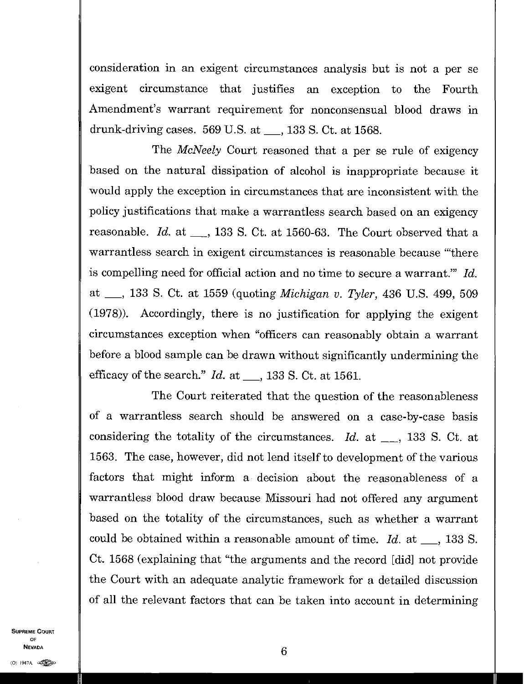consideration in an exigent circumstances analysis but is not a per se exigent circumstance that justifies an exception to the Fourth Amendment's warrant requirement for nonconsensual blood draws in drunk-driving cases.  $569$  U.S. at  $\_\_$ , 133 S. Ct. at 1568.

The *McNeely* Court reasoned that a per se rule of exigency based on the natural dissipation of alcohol is inappropriate because it would apply the exception in circumstances that are inconsistent with the policy justifications that make a warrantless search based on an exigency reasonable.  $Id.$  at  $\_\_$ , 133 S. Ct. at 1560-63. The Court observed that a warrantless search in exigent circumstances is reasonable because "there is compelling need for official action and no time to secure a warrant." *Id.*  at , 133 S. Ct. at 1559 (quoting *Michigan v. Tyler,* 436 U.S. 499, 509 (1978)). Accordingly, there is no justification for applying the exigent circumstances exception when "officers can reasonably obtain a warrant before a blood sample can be drawn without significantly undermining the efficacy of the search." *Id.* at \_\_, 133 S. Ct. at 1561.

The Court reiterated that the question of the reasonableness of a warrantless search should be answered on a case-by-case basis considering the totality of the circumstances. *Id.* at  $\_\_$ , 133 S. Ct. at 1563. The case, however, did not lend itself to development of the various factors that might inform a decision about the reasonableness of a warrantless blood draw because Missouri had not offered any argument based on the totality of the circumstances, such as whether a warrant could be obtained within a reasonable amount of time.  $Id.$  at  $\_\_$ , 133 S. Ct. 1568 (explaining that "the arguments and the record [did] not provide the Court with an adequate analytic framework for a detailed discussion of all the relevant factors that can be taken into account in determining

SUPREME COURT OF  $\blacksquare$ **(1947A NEVADA**<br>(0) 1947A external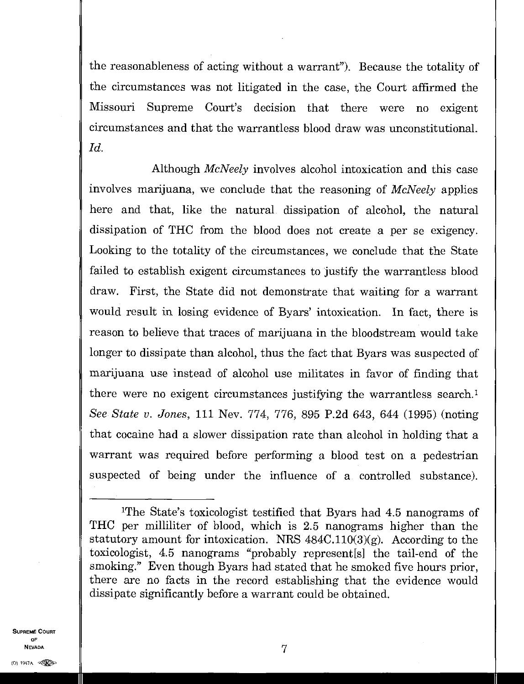the reasonableness of acting without a warrant"). Because the totality of the circumstances was not litigated in the case, the Court affirmed the Missouri Supreme Court's decision that there were no exigent circumstances and that the warrantless blood draw was unconstitutional. *Id.* 

Although *McNeely* involves alcohol intoxication and this case involves marijuana, we conclude that the reasoning of *McNeely* applies here and that, like the natural dissipation of alcohol, the natural dissipation of THC from the blood does not create a per se exigency. Looking to the totality of the circumstances, we conclude that the State failed to establish exigent circumstances to justify the warrantless blood draw. First, the State did not demonstrate that waiting for a warrant would result in losing evidence of Byars' intoxication. In fact, there is reason to believe that traces of marijuana in the bloodstream would take longer to dissipate than alcohol, thus the fact that Byars was suspected of marijuana use instead of alcohol use militates in favor of finding that there were no exigent circumstances justifying the warrantless search.' *See State v. Jones,* 111 Nev. 774, 776, 895 P.2d 643, 644 (1995) (noting that cocaine had a slower dissipation rate than alcohol in holding that a warrant was required before performing a blood test on a pedestrian suspected of being under the influence of a controlled substance).

SUPREME COURT OF<br>Nevada  $\blacksquare$ 

<sup>&#</sup>x27;The State's toxicologist testified that Byars had 4.5 nanograms of THC per milliliter of blood, which is 2.5 nanograms higher than the statutory amount for intoxication. NRS  $484C.110(3)(g)$ . According to the toxicologist, 4.5 nanograms "probably represent[s] the tail-end of the smoking." Even though Byars had stated that he smoked five hours prior, there are no facts in the record establishing that the evidence would dissipate significantly before a warrant could be obtained.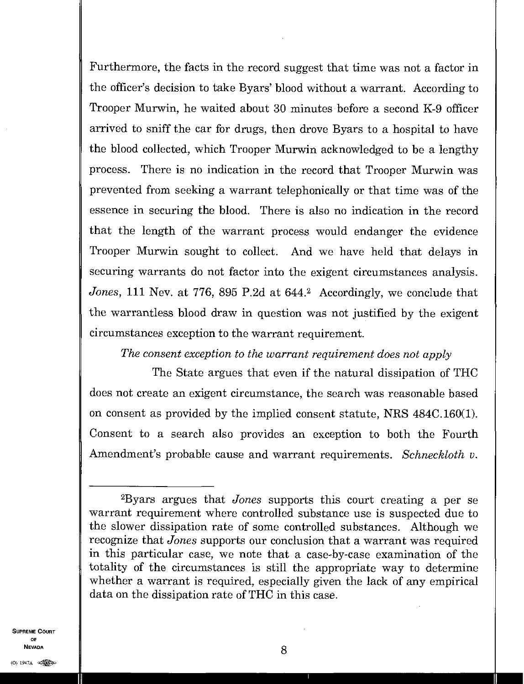Furthermore, the facts in the record suggest that time was not a factor in the officer's decision to take Byars' blood without a warrant. According to Trooper Murwin, he waited about 30 minutes before a second K-9 officer arrived to sniff the car for drugs, then drove Byars to a hospital to have the blood collected, which Trooper Murwin acknowledged to be a lengthy process. There is no indication in the record that Trooper Murwin was prevented from seeking a warrant telephonically or that time was of the essence in securing the blood. There is also no indication in the record that the length of the warrant process would endanger the evidence Trooper Murwin sought to collect. And we have held that delays in securing warrants do not factor into the exigent circumstances analysis. *Jones*, 111 Nev. at 776, 895 P.2d at 644.<sup>2</sup> Accordingly, we conclude that the warrantless blood draw in question was not justified by the exigent circumstances exception to the warrant requirement.

# *The consent exception to the warrant requirement does not apply*

The State argues that even if the natural dissipation of THC does not create an exigent circumstance, the search was reasonable based on consent as provided by the implied consent statute, NRS 484C.160(1). Consent to a search also provides an exception to both the Fourth Amendment's probable cause and warrant requirements. *Schneckloth v.* 

SUPREME COURT OF  $\sim$  8

<sup>2</sup>Byars argues that *Jones* supports this court creating a per se warrant requirement where controlled substance use is suspected due to the slower dissipation rate of some controlled substances. Although we recognize that *Jones* supports our conclusion that a warrant was required in this particular case, we note that a case-by-case examination of the totality of the circumstances is still the appropriate way to determine whether a warrant is required, especially given the lack of any empirical data on the dissipation rate of THC in this case.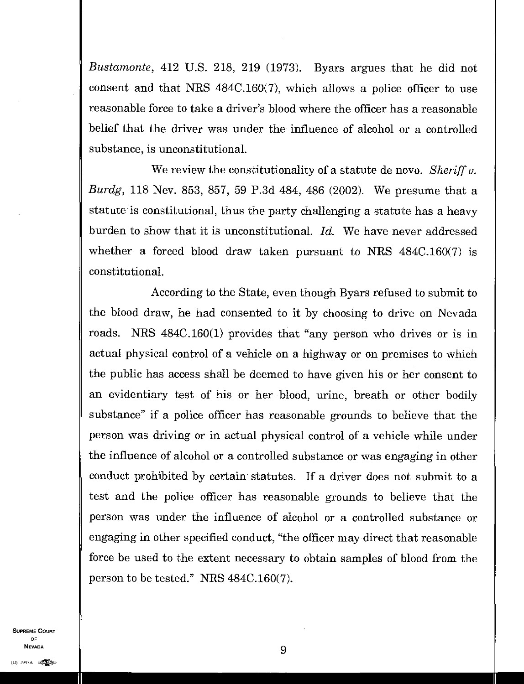*Bustamonte,* 412 U.S. 218, 219 (1973). Byars argues that he did not consent and that NRS 484C.160(7), which allows a police officer to use reasonable force to take a driver's blood where the officer has a reasonable belief that the driver was under the influence of alcohol or a controlled substance, is unconstitutional.

We review the constitutionality of a statute de novo. *Sheriff v. Burdg,* 118 Nev. 853, 857, 59 P.3d 484, 486 (2002). We presume that a statute is constitutional, thus the party challenging a statute has a heavy burden to show that it is unconstitutional. *Id.* We have never addressed whether a forced blood draw taken pursuant to NRS 484C.160(7) is constitutional.

According to the State, even though Byars refused to submit to the blood draw, he had consented to it by choosing to drive on Nevada roads. MRS 484C.160(1) provides that "any person who drives or is in actual physical control of a vehicle on a highway or on premises to which the public has access shall be deemed to have given his or her consent to an evidentiary test of his or her blood, urine, breath or other bodily substance" if a police officer has reasonable grounds to believe that the person was driving or in actual physical control of a vehicle while under the influence of alcohol or a controlled substance or was engaging in other conduct prohibited by certain statutes. If a driver does not submit to a test and the police officer has reasonable grounds to believe that the person was under the influence of alcohol or a controlled substance or engaging in other specified conduct, "the officer may direct that reasonable force be used to the extent necessary to obtain samples of blood from the person to be tested." NRS 484C.160(7).

SUPREME COURT OF  $\overline{9}$  $N$ evada<br>(0) 1947a  $\otimes$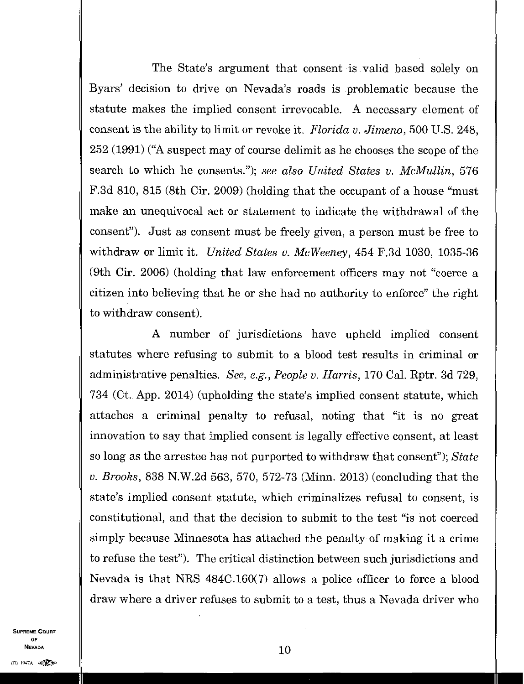The State's argument that consent is valid based solely on Byars' decision to drive on Nevada's roads is problematic because the statute makes the implied consent irrevocable. A necessary element of consent is the ability to limit or revoke it. *Florida v. Jimeno,* 500 U.S. 248, 252 (1991) ("A suspect may of course delimit as he chooses the scope of the search to which he consents."); *see also United States v. McMullin,* 576 F.3d 810, 815 (8th Cir. 2009) (holding that the occupant of a house "must make an unequivocal act or statement to indicate the withdrawal of the consent"). Just as consent must be freely given, a person must be free to withdraw or limit it. *United States v. McWeeney,* 454 F.3d 1030, 1035-36 (9th Cir. 2006) (holding that law enforcement officers may not "coerce a citizen into believing that he or she had no authority to enforce" the right to withdraw consent).

A number of jurisdictions have upheld implied consent statutes where refusing to submit to a blood test results in criminal or administrative penalties. *See, e.g., People v. Harris,* 170 Cal. Rptr. 3d 729, 734 (Ct. App. 2014) (upholding the state's implied consent statute, which attaches a criminal penalty to refusal, noting that "it is no great innovation to say that implied consent is legally effective consent, at least so long as the arrestee has not purported to withdraw that consent"); *State v. Brooks*, 838 N.W.2d 563, 570, 572-73 (Minn. 2013) (concluding that the state's implied consent statute, which criminalizes refusal to consent, is constitutional, and that the decision to submit to the test "is not coerced simply because Minnesota has attached the penalty of making it a crime to refuse the test"). The critical distinction between such jurisdictions and Nevada is that NRS 484C.160(7) allows a police officer to force a blood draw where a driver refuses to submit to a test, thus a Nevada driver who

SUPREME COURT OF  $\blacksquare$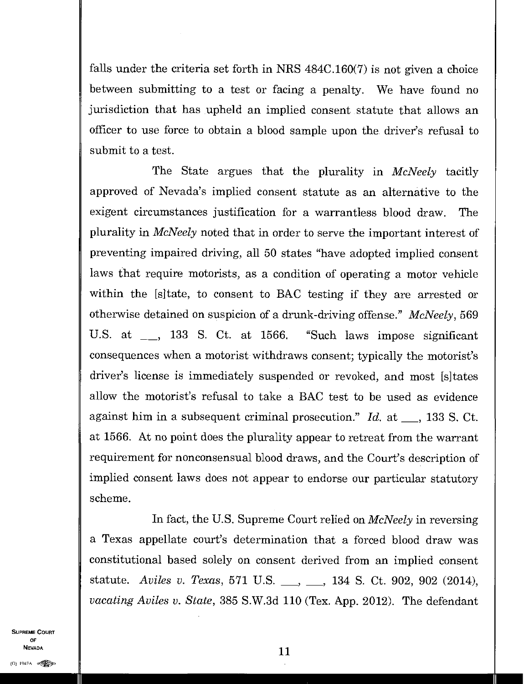falls under the criteria set forth in NRS 484C.160(7) is not given a choice between submitting to a test or facing a penalty. We have found no jurisdiction that has upheld an implied consent statute that allows an officer to use force to obtain a blood sample upon the driver's refusal to submit to a test.

The State argues that the plurality in *McNeely* tacitly approved of Nevada's implied consent statute as an alternative to the exigent circumstances justification for a warrantless blood draw. The plurality in *McNeely* noted that in order to serve the important interest of preventing impaired driving, all 50 states "have adopted implied consent laws that require motorists, as a condition of operating a motor vehicle within the [s]tate, to consent to BAC testing if they are arrested or otherwise detained on suspicion of a drunk-driving offense." *McNeely,* 569 U.S. at <sub>1</sub>, 133 S. Ct. at 1566. "Such laws impose significant consequences when a motorist withdraws consent; typically the motorist's driver's license is immediately suspended or revoked, and most [s]tates allow the motorist's refusal to take a BAC test to be used as evidence against him in a subsequent criminal prosecution."  $Id.$  at  $\_\_$ , 133 S. Ct. at 1566. At no point does the plurality appear to retreat from the warrant requirement for nonconsensual blood draws, and the Court's description of implied consent laws does not appear to endorse our particular statutory scheme.

In fact, the U.S. Supreme Court relied on *McNeely* in reversing a Texas appellate court's determination that a forced blood draw was constitutional based solely on consent derived from an implied consent statute. Aviles v. Texas, 571 U.S. <sub>...</sub>, ..., 134 S. Ct. 902, 902 (2014), *vacating Aviles v. State,* 385 S.W.3d 110 (Tex. App. 2012). The defendant

SUPREME COURT OF **11 11**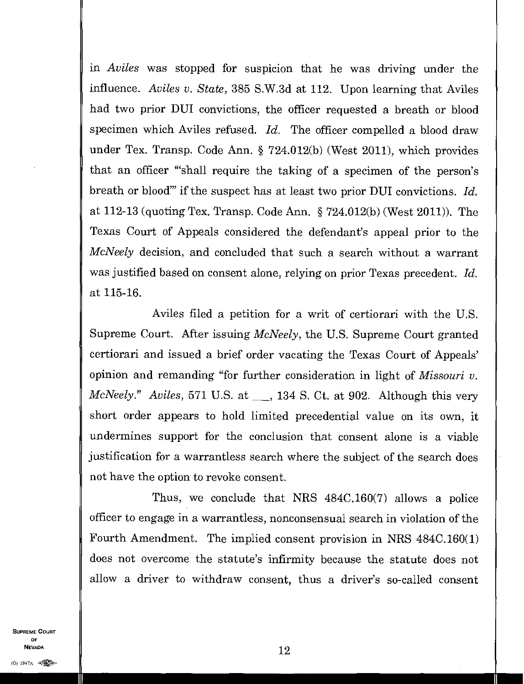in *Aviles* was stopped for suspicion that he was driving under the influence. *Aviles u. State,* 385 S.W.3d at 112. Upon learning that Aviles had two prior DUI convictions, the officer requested a breath or blood specimen which Aviles refused. *Id.* The officer compelled a blood draw under Tex. Transp. Code Ann. § 724.012(b) (West 2011), which provides that an officer "'shall require the taking of a specimen of the person's breath or blood" if the suspect has at least two prior DUI convictions. *Id.* at 112-13 (quoting Tex. Transp. Code Ann.  $\S 724.012(b)$  (West 2011)). The Texas Court of Appeals considered the defendant's appeal prior to the *McNeely* decision, and concluded that such a search without a warrant was justified based on consent alone, relying on prior Texas precedent. *Id.*  at 115-16.

Aviles filed a petition for a writ of certiorari with the U.S. Supreme Court. After issuing *McNeely,* the U.S. Supreme Court granted certiorari and issued a brief order vacating the Texas Court of Appeals' opinion and remanding "for further consideration in light of *Missouri v. McNeely." Aviles,* 571 U.S. at <sub>1</sub>, 134 S. Ct. at 902. Although this very short order appears to hold limited precedential value on its own, it undermines support for the conclusion that consent alone is a viable justification for a warrantless search where the subject of the search does not have the option to revoke consent.

Thus, we conclude that NRS 484C.160(7) allows a police officer to engage in a warrantless, nonconsensual search in violation of the Fourth Amendment. The implied consent provision in NRS 484C.160(1) does not overcome the statute's infirmity because the statute does not allow a driver to withdraw consent, thus a driver's so-called consent

SUPREME COURT OF NEVADA  $\parallel$  12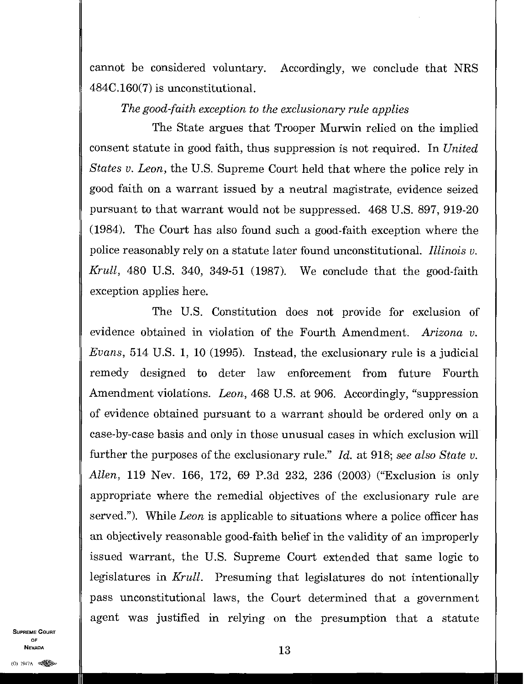cannot be considered voluntary. Accordingly, we conclude that NRS 484C.160(7) is unconstitutional.

## *The good-faith exception to the exclusionary rule applies*

The State argues that Trooper Murwin relied on the implied consent statute in good faith, thus suppression is not required. In *United States v. Leon,* the U.S. Supreme Court held that where the police rely in good faith on a warrant issued by a neutral magistrate, evidence seized pursuant to that warrant would not be suppressed. 468 U.S. 897, 919-20 (1984). The Court has also found such a good-faith exception where the police reasonably rely on a statute later found unconstitutional. *Illinois v. Krull,* 480 U.S. 340, 349-51 (1987). We conclude that the good-faith exception applies here.

The U.S. Constitution does not provide for exclusion of evidence obtained in violation of the Fourth Amendment. *Arizona v. Evans*, 514 U.S. 1, 10 (1995). Instead, the exclusionary rule is a judicial remedy designed to deter law enforcement from future Fourth Amendment violations. *Leon,* 468 U.S. at 906. Accordingly, "suppression of evidence obtained pursuant to a warrant should be ordered only on a case-by-ease basis and only in those unusual cases in which exclusion will further the purposes of the exclusionary rule." *Id.* at 918; *see also State v. Allen,* 119 Nev. 166, 172, 69 P.3d 232, 236 (2003) ("Exclusion is only appropriate where the remedial objectives of the exclusionary rule are served."). While *Leon* is applicable to situations where a police officer has an objectively reasonable good-faith belief in the validity of an improperly issued warrant, the U.S. Supreme Court extended that same logic to legislatures in *Krull.* Presuming that legislatures do not intentionally pass unconstitutional laws, the Court determined that a government agent was justified in relying on the presumption that a statute

SUPREME COURT OF NEVADA  $13$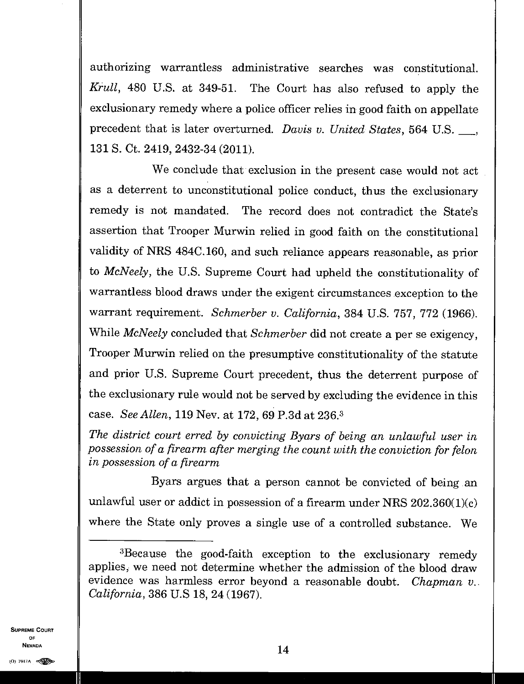authorizing warrantless administrative searches was constitutional. *Krull,* 480 U.S. at 349-51. The Court has also refused to apply the exclusionary remedy where a police officer relies in good faith on appellate precedent that is later overturned. *Davis v. United States*, 564 U.S. 131 S. Ct. 2419, 2432-34 (2011).

We conclude that exclusion in the present case would not act as a deterrent to unconstitutional police conduct, thus the exclusionary remedy is not mandated. The record does not contradict the State's assertion that Trooper Murwin relied in good faith on the constitutional validity of NRS 484C.160, and such reliance appears reasonable, as prior to *McNeely,* the U.S. Supreme Court had upheld the constitutionality of warrantless blood draws under the exigent circumstances exception to the warrant requirement. *Schmerber v. California,* 384 U.S. 757, 772 (1966). While *McNeely* concluded that *Schmerber* did not create a per se exigency, Trooper Murwin relied on the presumptive constitutionality of the statute and prior U.S. Supreme Court precedent, thus the deterrent purpose of the exclusionary rule would not be served by excluding the evidence in this case. *See Allen,* 119 Nev. at 172, 69 P.3d at 236. 3

*The district court erred by convicting Byars of being an unlawful user in possession of a firearm after merging the count with the conviction for felon in possession of a firearm* 

Byars argues that a person cannot be convicted of being an unlawful user or addict in possession of a firearm under NRS  $202.360(1)(c)$ where the State only proves a single use of a controlled substance. We

SUPREME COURT OF

<sup>3</sup>Because the good-faith exception to the exclusionary remedy applies, we need not determine whether the admission of the blood draw evidence was harmless error beyond a reasonable doubt. *Chapman v. California,* 386 U.S 18, 24 (1967).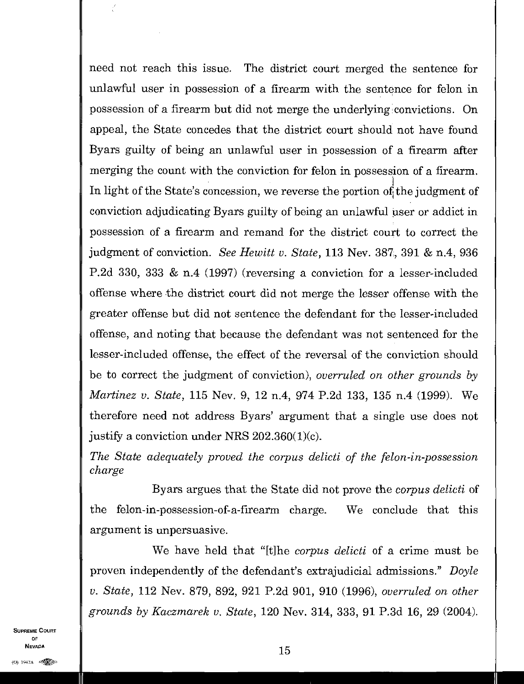need not reach this issue. The district court merged the sentence for unlawful user in possession of a firearm with the sentence for felon in possession of a firearm but did not merge the underlying 'convictions. On appeal, the State concedes that the district court should not have found Byars guilty of being an unlawful user in possession of a firearm after merging the count with the conviction for felon in possession of a firearm. In light of the State's concession, we reverse the portion of the judgment of conviction adjudicating Byars guilty of being an unlawful user or addict in possession of a firearm and remand for the district court to correct the judgment of conviction. *See Hewitt v. State,* 113 Nev. 387, 391 & n.4, 936 P.2d 330, 333 & n.4 (1997) (reversing a conviction for a lesser-included offense where the district court did not merge the lesser offense with the greater offense but did not sentence the defendant for the lesser-included offense, and noting that because the defendant was not sentenced for the lesser-included offense, the effect of the reversal of the conviction should be to correct the judgment of conviction), *overruled on other grounds by Martinez v. State,* 115 Nev. 9, 12 n.4, 974 P.2d 133, 135 n.4 (1999). We therefore need not address Byars' argument that a single use does not justify a conviction under NRS 202.360(1)(c).

*The State adequately proved the corpus delicti of the felon-in-possession charge* 

Byars argues that the State did not prove the *corpus delicti* of the felon-in-possession-of-a-firearm charge. We conclude that this argument is unpersuasive.

We have held that "[t]he *corpus delicti* of a crime must be proven independently of the defendant's extrajudicial admissions." *Doyle v. State,* 112 Nev. 879, 892, 921 P.2d 901, 910 (1996), *overruled on other grounds by Kaczmarek v. State,* 120 Nev. 314, 333, 91 P.3d 16, 29 (2004).

SUPREME COURT OF  $\blacksquare$  $N$ Evada<br>(0) 1947A  $\otimes$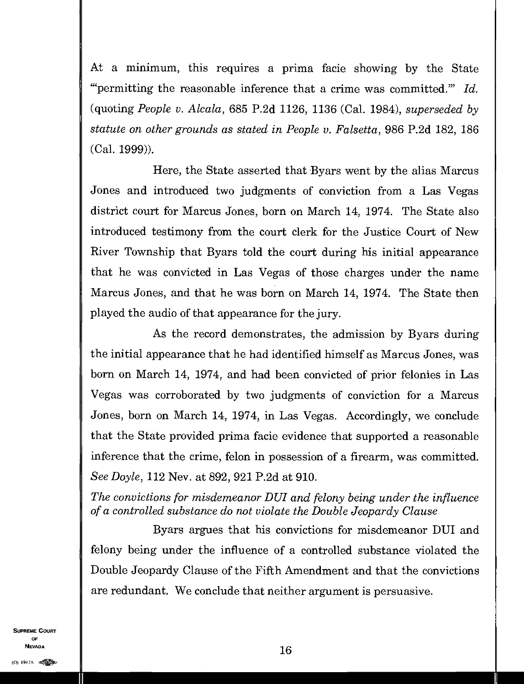At a minimum, this requires a prima facie showing by the State "permitting the reasonable inference that a crime was committed." *Id.*  (quoting *People v. Alcala,* 685 P.2d 1126, 1136 (Cal. 1984), *superseded by statute on other grounds as stated in People v. Falsetta,* 986 P.2d 182, 186 (Cal. 1999)).

Here, the State asserted that Byars went by the alias Marcus Jones and introduced two judgments of conviction from a Las Vegas district court for Marcus Jones, born on March 14, 1974. The State also introduced testimony from the court clerk for the Justice Court of New River Township that Byars told the court during his initial appearance that he was convicted in Las Vegas of those charges under the name Marcus Jones, and that he was born on March 14, 1974. The State then played the audio of that appearance for the jury.

As the record demonstrates, the admission by Byars during the initial appearance that he had identified himself as Marcus Jones, was born on March 14, 1974, and had been convicted of prior felonies in Las Vegas was corroborated by two judgments of conviction for a Marcus Jones, born on March 14, 1974, in Las Vegas. Accordingly, we conclude that the State provided prima facie evidence that supported a reasonable inference that the crime, felon in possession of a firearm, was committed. *See Doyle,* 112 Nev. at 892, 921 P.2d at 910.

*The convictions for misdemeanor DUI and felony being under the influence of a controlled substance do not violate the Double Jeopardy Clause* 

Byars argues that his convictions for misdemeanor DIJI and felony being under the influence of a controlled substance violated the Double Jeopardy Clause of the Fifth Amendment and that the convictions are redundant. We conclude that neither argument is persuasive.

SUPREME COURT OF NEVADA  $16$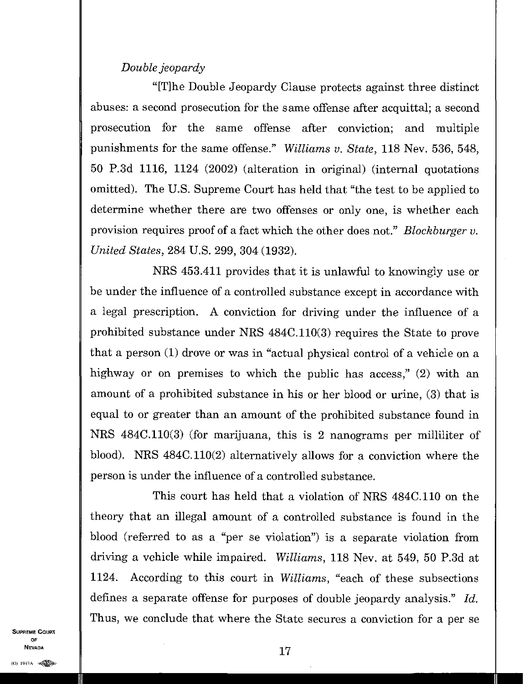## *Double jeopardy*

"[T]he Double Jeopardy Clause protects against three distinct abuses: a second prosecution for the same offense after acquittal; a second prosecution for the same offense after conviction; and multiple punishments for the same offense." *Williams v. State,* 118 Nev. 536, 548, 50 P.3d 1116, 1124 (2002) (alteration in original) (internal quotations omitted). The U.S. Supreme Court has held that "the test to be applied to determine whether there are two offenses or only one, is whether each provision requires proof of a fact which the other does not." *Blockburger v. United States,* 284 U.S. 299, 304 (1932).

NRS 453.411 provides that it is unlawful to knowingly use or be under the influence of a controlled substance except in accordance with a legal prescription. A conviction for driving under the influence of a prohibited substance under NRS 484C.110(3) requires the State to prove that a person (1) drove or was in "actual physical control of a vehicle on a highway or on premises to which the public has access," (2) with an amount of a prohibited substance in his or her blood or urine, (3) that is equal to or greater than an amount of the prohibited substance found in NRS 484C.110(3) (for marijuana, this is 2 nanograms per milliliter of blood). NRS 484C.110(2) alternatively allows for a conviction where the person is under the influence of a controlled substance.

This court has held that a violation of NRS 484C.110 on the theory that an illegal amount of a controlled substance is found in the blood (referred to as a "per se violation") is a separate violation from driving a vehicle while impaired. *Williams,* 118 Nev. at 549, 50 P.3d at 1124. According to this court in *Williams,* "each of these subsections defines a separate offense for purposes of double jeopardy analysis." *Id.*  Thus, we conclude that where the State secures a conviction for a per se

SUPREME COURT OF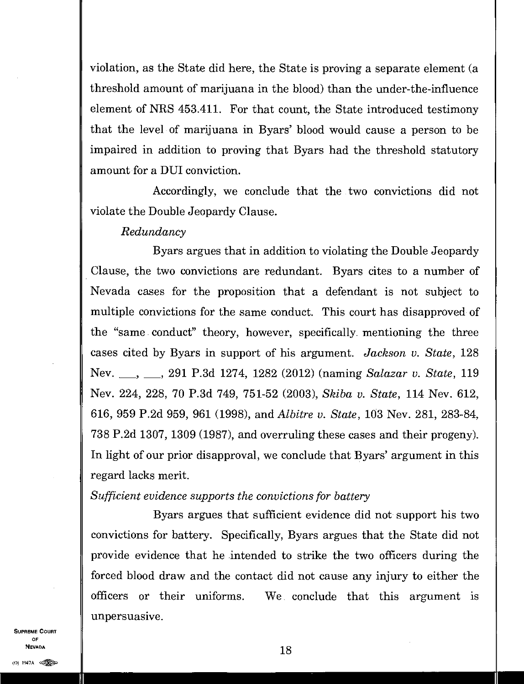violation, as the State did here, the State is proving a separate element (a threshold amount of marijuana in the blood) than the under-the-influence element of NRS 453.411. For that count, the State introduced testimony that the level of marijuana in Byars' blood would cause a person to be impaired in addition to proving that Byars had the threshold statutory amount for a DUI conviction.

Accordingly, we conclude that the two convictions did not violate the Double Jeopardy Clause.

#### *Redundancy*

Byars argues that in addition to violating the Double Jeopardy Clause, the two convictions are redundant. Byars cites to a number of Nevada cases for the proposition that a defendant is not subject to multiple convictions for the same conduct. This court has disapproved of the "same conduct" theory, however, specifically mentioning the three cases cited by Byars in support of his argument. *Jackson v. State,* 128 Nev. " 291 P.3d 1274, 1282 (2012) (naming *Salazar v. State,* 119 Nev. 224, 228, 70 P.3d 749, 751-52 (2003), *Skiba v. State,* 114 Nev. 612, 616, 959 P.2d 959, 961 (1998), and *Albitre v. State,* 103 Nev. 281, 283-84, 738 P.2d 1307, 1309 (1987), and overruling these cases and their progeny). In light of our prior disapproval, we conclude that Byars' argument in this regard lacks merit.

#### *Sufficient evidence supports the convictions for battery*

Byars argues that sufficient evidence did not support his two convictions for battery. Specifically, Byars argues that the State did not provide evidence that he intended to strike the two officers during the forced blood draw and the contact did not cause any injury to either the officers or their uniforms. We conclude that this argument is unpersuasive.

SUPREME COURT OF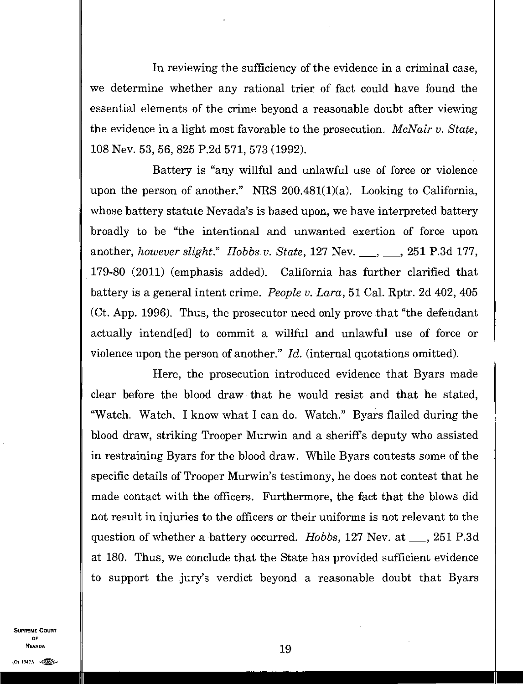In reviewing the sufficiency of the evidence in a criminal case, we determine whether any rational trier of fact could have found the essential elements of the crime beyond a reasonable doubt after viewing the evidence in a light most favorable to the prosecution. *McNair v. State,*  108 Nev. 53, 56, 825 P.2d 571, 573 (1992).

Battery is "any willful and unlawful use of force or violence upon the person of another." NRS  $200.481(1)(a)$ . Looking to California, whose battery statute Nevada's is based upon, we have interpreted battery broadly to be "the intentional and unwanted exertion of force upon another, *however slight.*" Hobbs v. State, 127 Nev. \_\_, \_\_, 251 P.3d 177, 179-80 (2011) (emphasis added). California has further clarified that battery is a general intent crime. *People v. Lara,* 51 Cal. Rptr. 2d 402, 405 (Ct. App. 1996). Thus, the prosecutor need only prove that "the defendant actually intend[ed] to commit a willful and unlawful use of force or violence upon the person of another." *Id.* (internal quotations omitted).

Here, the prosecution introduced evidence that Byars made clear before the blood draw• that he would resist and that he stated, "Watch. Watch. I know what I can do. Watch." Byars flailed during the blood draw, striking Trooper Murwin and a sheriffs deputy who assisted in restraining Byars for the blood draw. While Byars contests some of the specific details of Trooper Murwin's testimony, he does not contest that he made contact with the officers. Furthermore, the fact that the blows did not result in injuries to the officers or their uniforms is not relevant to the question of whether a battery occurred. *Hobbs*, 127 Nev. at <sub>1, 251</sub> P.3d at 180. Thus, we conclude that the State has provided sufficient evidence to support the jury's verdict beyond a reasonable doubt that Byars

SUPREME COURT OF  $\blacksquare$ NEVADA  $\blacksquare$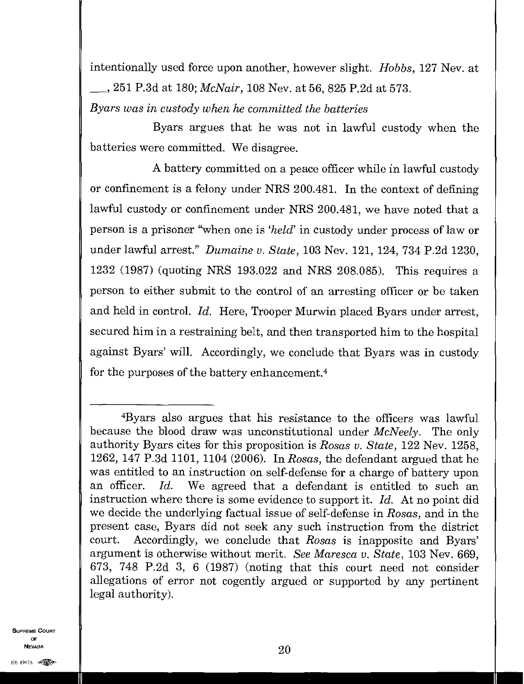intentionally used force upon another, however slight. *Hobbs,* 127 Nev. at 251 P.3d at 180; *McNair,* 108 Nev. at 56, 825 P.2d at 573.

*Byars was in custody when he committed the batteries* 

Byars argues that he was not in lawful custody when the batteries were committed. We disagree.

A battery committed on a peace officer while in lawful custody or confinement is a felony under NRS 200.481. In the context of defining lawful custody or confinement under NRS 200.481, we have noted that a person is a prisoner "when one is *'held'* in custody under process of law or under lawful arrest." *Dumaine v. State*, 103 Nev. 121, 124, 734 P.2d 1230, 1232 (1987) (quoting NRS 193.022 and NRS 208.085). This requires a person to either submit to the control of an arresting officer or be taken and held in control. *Id.* Here, Trooper Murwin placed Byars under arrest, secured him in a restraining belt, and then transported him to the hospital against Byars' will. Accordingly, we conclude that Byars was in custody for the purposes of the battery enhancement. <sup>4</sup>

SUPREME COURT OF NEVADA  $20$ **NEVADA**<br>(0) 1947A  $\otimes$ 

<sup>4</sup>Byars also argues that his resistance to the officers was lawful because the blood draw was unconstitutional under *McNeely.* The only authority Byars cites for this proposition is *Rosas v. State,* 122 Nev. 1258, 1262, 147 P.3d 1101, 1104 (2006). In *Rosas,* the defendant argued that he was entitled to an instruction on self-defense for a charge of battery upon an officer. *Id.* We agreed that a defendant is entitled to such an instruction where there is some evidence to support it. *Id.* At no point did we decide the underlying factual issue of self-defense in *Rosas,* and in the present case, Byars did not seek any such instruction from the district court. Accordingly, we conclude that *Rosas* is inapposite and Byars' argument is otherwise without merit. *See Maresca v. State,* 103 Nev. 669, 673, 748 P.2d 3, 6 (1987) (noting that this court need not consider allegations of error not cogently argued or supported by any pertinent legal authority).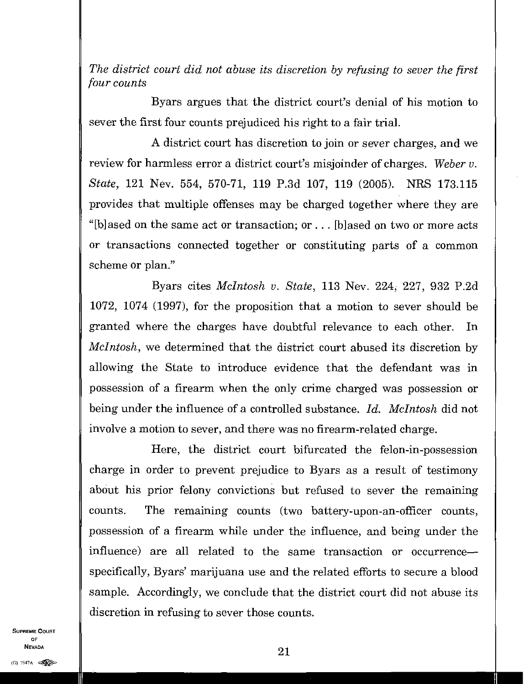*The district court did not abuse its discretion by refusing to sever the first four counts* 

Byars argues that the district court's denial of his motion to sever the first four counts prejudiced his right to a fair trial.

A district court has discretion to join or sever charges, and we review for harmless error a district court's misjoinder of charges. *Weber v. State,* 121 Nev. 554, 570-71, 119 P.3d 107, 119 (2005). NRS 173.115 provides that multiple offenses may be charged together where they are "[b]ased on the same act or transaction; or  $\dots$  [b]ased on two or more acts or transactions connected together or constituting parts of a common scheme or plan."

Byars cites *McIntosh v. State,* 113 Nev. 224, 227, 932 P.2d 1072, 1074 (1997), for the proposition that a motion to sever should be granted where the charges have doubtful relevance to each other. In *McIntosh,* we determined that the district court abused its discretion by allowing the State to introduce evidence that the defendant was in possession of a firearm when the only crime charged was possession or being under the influence of a controlled substance. *Id. McIntosh* did not involve a motion to sever, and there was no firearm-related charge.

Here, the district court bifurcated the felon-in-possession charge in order to prevent prejudice to Byars as a result of testimony about his prior felony convictions but refused to sever the remaining counts. The remaining counts (two battery-upon-an-officer counts, possession of a firearm while under the influence, and being under the influence) are all related to the same transaction or occurrence specifically, Byars' marijuana use and the related efforts to secure a blood sample. Accordingly, we conclude that the district court did not abuse its discretion in refusing to sever those counts.

SUPREME COURT OF **Nevada**<br>(0) 1947A  $\bullet$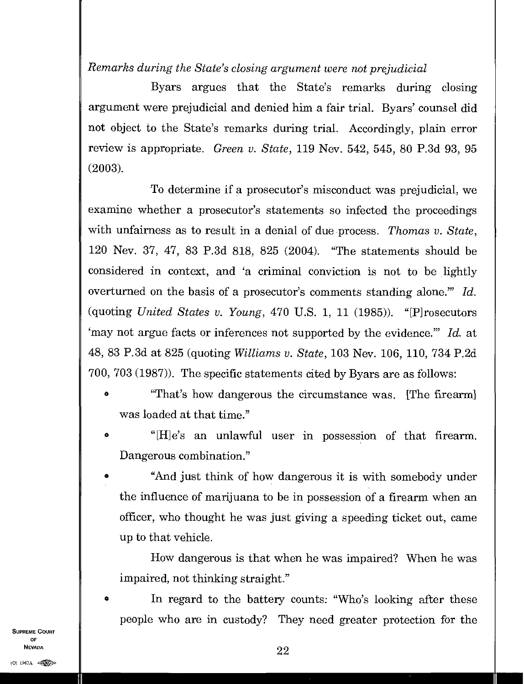# *Remarks during the State's closing argument were not prejudicial*

Byars argues that the State's remarks during closing argument were prejudicial and denied him a fair trial. Byars' counsel did not object to the State's remarks during trial. Accordingly, plain error review is appropriate. *Green v. State,* 119 Nev. 542, 545, 80 P.3d 93, 95 (2003).

To determine if a prosecutor's misconduct was prejudicial, we examine whether a prosecutor's statements so infected the proceedings with unfairness as to result in a denial of due process. *Thomas v. State,*  120 Nev. 37, 47, 83 P.3d 818, 825 (2004). "The statements should be considered in context, and 'a criminal conviction is not to be lightly overturned on the basis of a prosecutor's comments standing alone." *Id.*  (quoting *United States v. Young,* 470 U.S. 1, 11 (1985)). "[P]rosecutors 'may not argue facts or inferences not supported by the evidence?" *Id.* at 48, 83 P.3d at 825 (quoting *Williams v. State,* 103 Nev. 106, 110, 734 P.2d 700, 703 (1987)). The specific statements cited by Byars are as follows:

- "That's how dangerous the circumstance was. [The firearm] was loaded at that time."
- o "[H]e's an unlawful user in possession of that firearm Dangerous combination."
- "And just think of how dangerous it is with somebody under the influence of marijuana to be in possession of a firearm when an officer, who thought he was just giving a speeding ticket out, came up to that vehicle.

How dangerous is that when he was impaired? When he was impaired, not thinking straight."

In regard to the battery counts: "Who's looking after these people who are in custody? They need greater protection for the

SUPREME COURT OF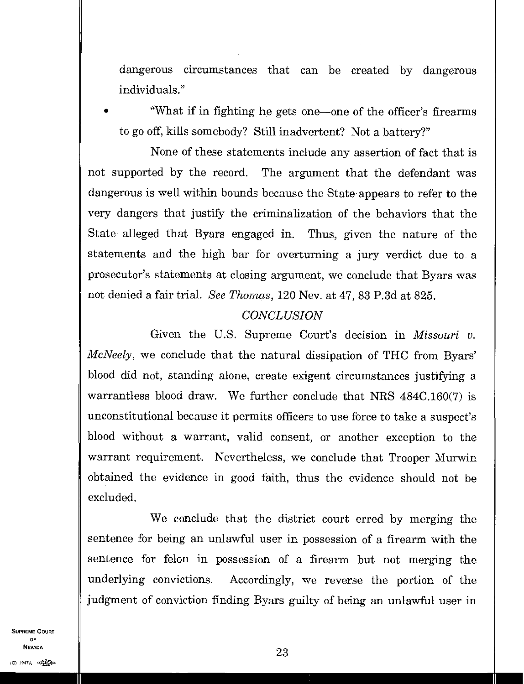dangerous circumstances that can be created by dangerous individuals."

• "What if in fighting he gets one—one of the officer's firearms to go off, kills somebody? Still inadvertent? Not a battery?"

None of these statements include any assertion of fact that is not supported by the record. The argument that the defendant was dangerous is well within bounds because the State appears to refer to the very dangers that justify the criminalization of the behaviors that the State alleged that Byars engaged in. Thus, given the nature of the statements and the high bar for overturning a jury verdict due to a prosecutor's statements at closing argument, we conclude that Byars was not denied a fair trial. *See Thomas,* 120 Nev. at 47, 83 P.3d at 825.

# *CONCLUSION*

Given the U.S. Supreme Court's decision in *Missouri v. McNeely,* we conclude that the natural dissipation of THC from Byars' blood did not, standing alone, create exigent circumstances justifying a warrantless blood draw. We further conclude that NRS 484C.160(7) is unconstitutional because it permits officers to use force to take a suspect's blood without a warrant, valid consent, or another exception to the warrant requirement. Nevertheless, we conclude that Trooper Murwin obtained the evidence in good faith, thus the evidence should not be excluded.

We conclude that the district court erred by merging the sentence for being an unlawful user in possession of a firearm with the sentence for felon in possession of a firearm but not merging the underlying convictions. Accordingly, we reverse the portion of the judgment of conviction finding Byars guilty of being an unlawful user in

SUPREME COURT OF NEVADA  $23$